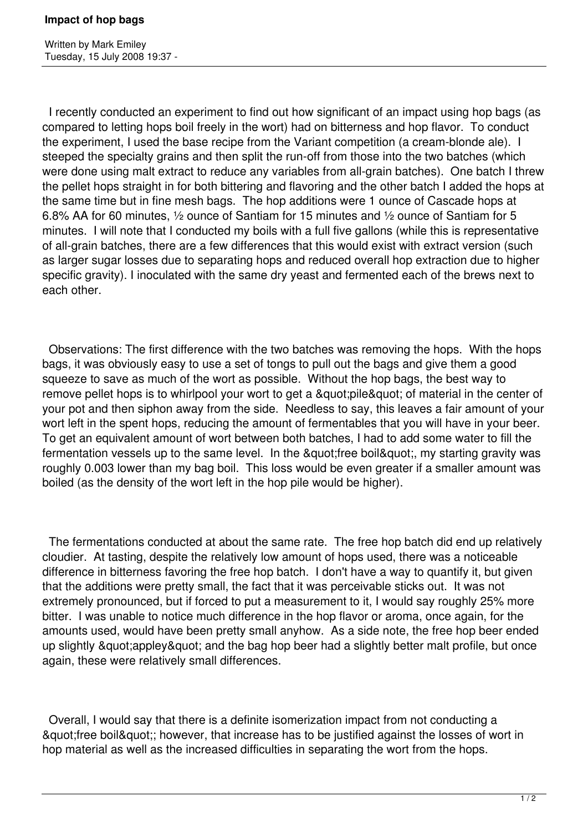Written by Mark Emiley Tuesday, 15 July 2008 19:37 -

 I recently conducted an experiment to find out how significant of an impact using hop bags (as compared to letting hops boil freely in the wort) had on bitterness and hop flavor. To conduct the experiment, I used the base recipe from the Variant competition (a cream-blonde ale). I steeped the specialty grains and then split the run-off from those into the two batches (which were done using malt extract to reduce any variables from all-grain batches). One batch I threw the pellet hops straight in for both bittering and flavoring and the other batch I added the hops at the same time but in fine mesh bags. The hop additions were 1 ounce of Cascade hops at 6.8% AA for 60 minutes, ½ ounce of Santiam for 15 minutes and ½ ounce of Santiam for 5 minutes. I will note that I conducted my boils with a full five gallons (while this is representative of all-grain batches, there are a few differences that this would exist with extract version (such as larger sugar losses due to separating hops and reduced overall hop extraction due to higher specific gravity). I inoculated with the same dry yeast and fermented each of the brews next to each other.

 Observations: The first difference with the two batches was removing the hops. With the hops bags, it was obviously easy to use a set of tongs to pull out the bags and give them a good squeeze to save as much of the wort as possible. Without the hop bags, the best way to remove pellet hops is to whirlpool your wort to get a " pile" of material in the center of your pot and then siphon away from the side. Needless to say, this leaves a fair amount of your wort left in the spent hops, reducing the amount of fermentables that you will have in your beer. To get an equivalent amount of wort between both batches, I had to add some water to fill the fermentation vessels up to the same level. In the " free boil", my starting gravity was roughly 0.003 lower than my bag boil. This loss would be even greater if a smaller amount was boiled (as the density of the wort left in the hop pile would be higher).

 The fermentations conducted at about the same rate. The free hop batch did end up relatively cloudier. At tasting, despite the relatively low amount of hops used, there was a noticeable difference in bitterness favoring the free hop batch. I don't have a way to quantify it, but given that the additions were pretty small, the fact that it was perceivable sticks out. It was not extremely pronounced, but if forced to put a measurement to it, I would say roughly 25% more bitter. I was unable to notice much difference in the hop flavor or aroma, once again, for the amounts used, would have been pretty small anyhow. As a side note, the free hop beer ended up slightly & quot; appley & quot; and the bag hop beer had a slightly better malt profile, but once again, these were relatively small differences.

 Overall, I would say that there is a definite isomerization impact from not conducting a & guot; free boil & guot;; however, that increase has to be justified against the losses of wort in hop material as well as the increased difficulties in separating the wort from the hops.